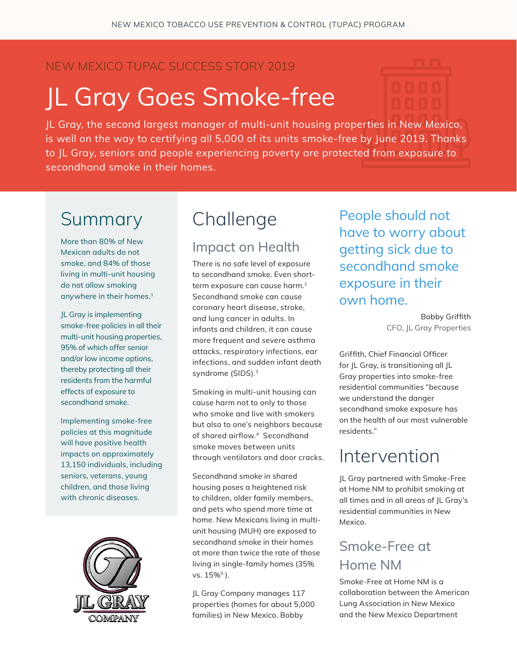#### NEW MEXICO TUPAC SUCCESS STORY 2019

# JL Gray Goes Smoke-free

JL Gray, the second largest manager of multi-unit housing properties in New Mexico, is well on the way to certifying all 5,000 of its units smoke-free by June 2019. Thanks to JL Gray, seniors and people experiencing poverty are protected from exposure to secondhand smoke in their homes.

## Summary

More than 80% of New Mexican adults do not smoke, and 84% of those living in multi-unit housing do not allow smoking anywhere in their homes.<sup>1</sup>

JL Gray is implementing smoke-free policies in all their multi-unit housing properties, 95% of which offer senior and/or low income options, thereby protecting all their residents from the harmful effects of exposure to secondhand smoke.

Implementing smoke-free policies at this magnitude will have positive health impacts on approximately 13,150 individuals, including seniors, veterans, young children, and those living with chronic diseases.



## Challenge

#### Impact on Health

There is no safe level of exposure to secondhand smoke. Even shortterm exposure can cause harm.<sup>2</sup> Secondhand smoke can cause coronary heart disease, stroke, and lung cancer in adults. In infants and children, it can cause more frequent and severe asthma attacks, respiratory infections, ear infections, and sudden infant death syndrome (SIDS).<sup>3</sup>

Smoking in multi-unit housing can cause harm not to only to those who smoke and live with smokers but also to one's neighbors because of shared airflow.<sup>4</sup> Secondhand smoke moves between units through ventilators and door cracks.

Secondhand smoke in shared housing poses a heightened risk to children, older family members, and pets who spend more time at home. New Mexicans living in multiunit housing (MUH) are exposed to secondhand smoke in their homes at more than twice the rate of those living in single-family homes (35% vs.  $15\%$ <sup>5</sup>).

JL Gray Company manages 117 properties (homes for about 5,000 families) in New Mexico. Bobby

People should not have to worry about getting sick due to secondhand smoke exposure in their own home.

> Bobby Griffith CFO, JL Gray Properties

Griffith, Chief Financial Officer for JL Gray, is transitioning all JL Gray properties into smoke-free residential communities "because we understand the danger secondhand smoke exposure has on the health of our most vulnerable residents."

### Intervention

JL Gray partnered with Smoke-Free at Home NM to prohibit smoking at all times and in all areas of JL Gray's residential communities in New Mexico.

#### Smoke-Free at Home NM

Smoke-Free at Home NM is a collaboration between the American Lung Association in New Mexico and the New Mexico Department